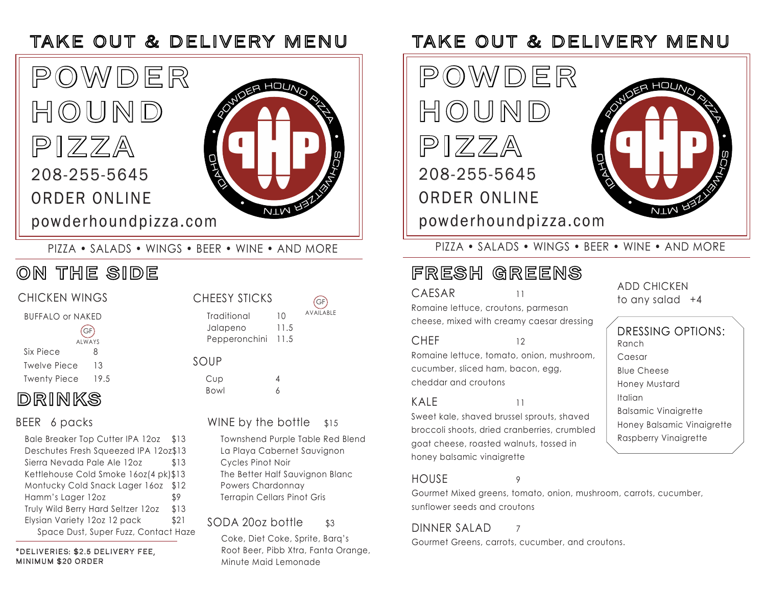

PIZZA • SALADS • WINGS • BEER • WINE • AND MORE

## ON THE SIDE

### CHICKEN WINGS

BUFFALO or NAKED

| (GF)                |               |  |
|---------------------|---------------|--|
|                     | <b>AIWAYS</b> |  |
| Six Piece           | 8             |  |
| <b>Twelve Piece</b> | 13            |  |
| <b>Twenty Piece</b> | 19.5          |  |

## DRINKS

Bale Breaker Top Cutter IPA 12oz \$13 Deschutes Fresh Squeezed IPA 12oz\$13 Sierra Nevada Pale Ale 12oz \$13 Kettlehouse Cold Smoke 16oz(4 pk)\$13 Montucky Cold Snack Lager 16oz \$12 Hamm's Lager 12oz \$9 Truly Wild Berry Hard Seltzer 12oz \$13 Elysian Variety 12oz 12 pack \$21 Space Dust, Super Fuzz, Contact Haze

\*DELIVERIES: \$2.5 DELIVERY FEE, MINIMUM \$20 ORDER

| <b>CHEESY STICKS</b> |      | (GF)             |
|----------------------|------|------------------|
| Traditional          | 10   | <b>AVAILABLE</b> |
| Jalapeno             | 11.5 |                  |
| Pepperonchini 11.5   |      |                  |
|                      |      |                  |

### SOUP

Cup 4 Bowl 6

### BEER 6 packs WINE by the bottle \$15

Townshend Purple Table Red Blend La Playa Cabernet Sauvignon Cycles Pinot Noir The Better Half Sauvignon Blanc Powers Chardonnay Terrapin Cellars Pinot Gris

### SODA 20oz bottle \$3

Coke, Diet Coke, Sprite, Barq's Root Beer, Pibb Xtra, Fanta Orange, Minute Maid Lemonade

## TAKE OUT & DELIVERY MENU TAKE OUT & DELIVERY MENU



PIZZA • SALADS • WINGS • BEER • WINE • AND MORE

## FRESH GREENS

### CAESAR11

Romaine lettuce, croutons, parmesan cheese, mixed with creamy caesar dressing

#### CHEF 12

Romaine lettuce, tomato, onion, mushroom, cucumber, sliced ham, bacon, egg, cheddar and croutons

Sweet kale, shaved brussel sprouts, shaved broccoli shoots, dried cranberries, crumbled

Gourmet Mixed greens, tomato, onion, mushroom, carrots, cucumber, sunflower seeds and croutons

#### DINNER SALAD<sub>7</sub>

Gourmet Greens, carrots, cucumber, and croutons.

ADD CHICKEN to any salad +4

Ranch Caesar Blue Cheese Honey Mustard Italian Balsamic Vinaigrette Honey Balsamic Vinaigrette Raspberry Vinaigrette DRESSING OPTIONS:

# $KAP$  11

HOUSE 9 goat cheese, roasted walnuts, tossed in honey balsamic vinaigrette